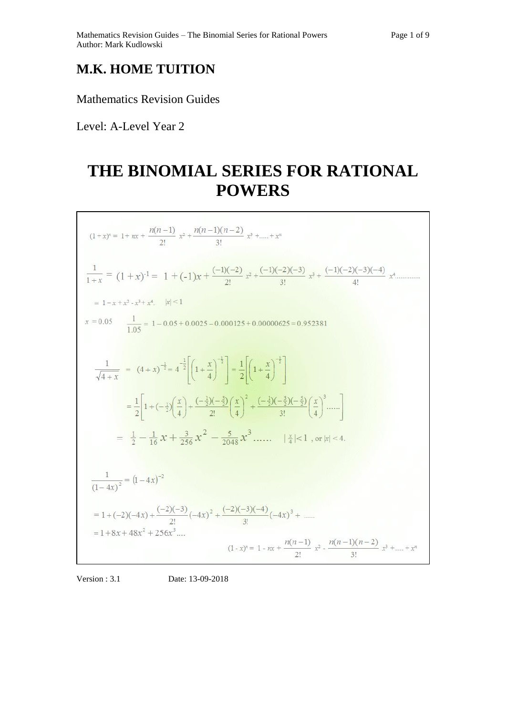## **M.K. HOME TUITION**

Mathematics Revision Guides

Level: A-Level Year 2

## **THE BINOMIAL SERIES FOR RATIONAL POWERS**

| $(1+x)^n = 1 + nx + \frac{n(n-1)}{2!}x^2 + \frac{n(n-1)(n-2)}{3!}x^3 +  + x^n$                                                                                                                                                    |
|-----------------------------------------------------------------------------------------------------------------------------------------------------------------------------------------------------------------------------------|
| $\frac{1}{1+x} = (1+x)^{-1} = 1 + (-1)x + \frac{(-1)(-2)}{2!}x^2 + \frac{(-1)(-2)(-3)}{3!}x^3 + \frac{(-1)(-2)(-3)(-4)}{4!}x^4 +$                                                                                                 |
| $= 1-x+x^2-x^3+x^4$ , $ x <1$                                                                                                                                                                                                     |
| $x = 0.05$ $\frac{1}{1.05} = 1 - 0.05 + 0.0025 - 0.000125 + 0.00000625 = 0.952381$                                                                                                                                                |
| $rac{1}{\sqrt{4+x}}$ = $(4+x)^{-\frac{1}{2}} = 4^{-\frac{1}{2}} \left[ 1 + \frac{x}{4} \right)^{-\frac{1}{2}}$ = $\frac{1}{2} \left[ 1 + \frac{x}{4} \right)^{-\frac{1}{2}}$                                                      |
| $=\frac{1}{2}\left 1+(-\frac{1}{2})\left(\frac{x}{4}\right)+\frac{(-\frac{1}{2})(-\frac{3}{2})}{2!}\left(\frac{x}{4}\right)^2+\frac{(-\frac{1}{2})(-\frac{3}{2})(-\frac{5}{2})}{3!}\left(\frac{x}{4}\right)^3\ldots\ldots\right $ |
| $=\frac{1}{2}-\frac{1}{16}x+\frac{3}{256}x^2-\frac{5}{2048}x^3$ $ \frac{x}{4} <1$ , or $ x <4$ .                                                                                                                                  |
|                                                                                                                                                                                                                                   |
| $\frac{1}{(1-4x)^2} = (1-4x)^{-2}$                                                                                                                                                                                                |
| = 1 + (-2)(-4x) + $\frac{(-2)(-3)}{2!}$ (-4x) <sup>2</sup> + $\frac{(-2)(-3)(-4)}{3!}$ (-4x) <sup>3</sup> +                                                                                                                       |
| $= 1 + 8x + 48x^{2} + 256x^{3}$<br>$(1-x)^n = 1 - nx + \frac{n(n-1)}{2!}x^2 - \frac{n(n-1)(n-2)}{3!}x^3 +  + x^n$                                                                                                                 |

Version : 3.1 Date: 13-09-2018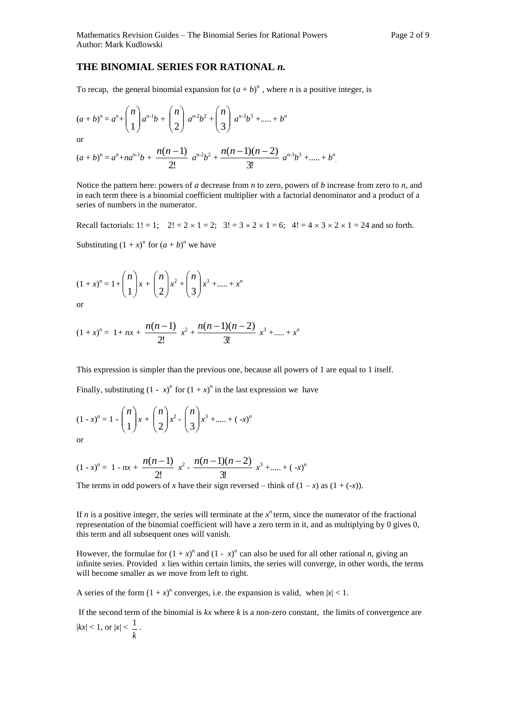## **THE BINOMIAL SERIES FOR RATIONAL** *n.*

To recap, the general binomial expansion for  $(a + b)^n$ , where *n* is a positive integer, is

$$
(a+b)^n = a^n + \binom{n}{1}a^{n-1}b + \binom{n}{2}a^{n-2}b^2 + \binom{n}{3}a^{n-3}b^3 + \dots + b^n
$$

or

$$
(a+b)^n = a^n + na^{n-1}b + \frac{n(n-1)}{2!}a^{n-2}b^2 + \frac{n(n-1)(n-2)}{3!}a^{n-3}b^3 + \dots + b^n
$$

Notice the pattern here: powers of *a* decrease from *n* to zero, powers of *b* increase from zero to *n*, and in each term there is a binomial coefficient multiplier with a factorial denominator and a product of a series of numbers in the numerator.

Recall factorials:  $1! = 1$ ;  $2! = 2 \times 1 = 2$ ;  $3! = 3 \times 2 \times 1 = 6$ ;  $4! = 4 \times 3 \times 2 \times 1 = 24$  and so forth.

Substituting  $(1 + x)^n$  for  $(a + b)^n$  we have

$$
(1+x)^n = 1 + \binom{n}{1}x + \binom{n}{2}x^2 + \binom{n}{3}x^3 + \dots + x^n
$$

or

$$
(1+x)^n = 1 + nx + \frac{n(n-1)}{2!}x^2 + \frac{n(n-1)(n-2)}{3!}x^3 + \dots + x^n
$$

This expression is simpler than the previous one, because all powers of 1 are equal to 1 itself.

Finally, substituting  $(1 - x)^n$  for  $(1 + x)^n$  in the last expression we have

$$
(1-x)^n = 1 - \binom{n}{1}x + \binom{n}{2}x^2 - \binom{n}{3}x^3 + \dots + (-x)^n
$$

or

$$
(1-x)^n = 1 - nx + \frac{n(n-1)}{2!} x^2 - \frac{n(n-1)(n-2)}{3!} x^3 + \dots + (-x)^n
$$

The terms in odd powers of *x* have their sign reversed – think of  $(1 - x)$  as  $(1 + (-x))$ .

If *n* is a positive integer, the series will terminate at the  $x^n$  term, since the numerator of the fractional representation of the binomial coefficient will have a zero term in it, and as multiplying by 0 gives 0, this term and all subsequent ones will vanish.

However, the formulae for  $(1 + x)^n$  and  $(1 - x)^n$  can also be used for all other rational *n*, giving an infinite series. Provided *x* lies within certain limits, the series will converge, in other words, the terms will become smaller as we move from left to right.

A series of the form  $(1 + x)^n$  converges, i.e. the expansion is valid, when  $|x| < 1$ .

If the second term of the binomial is  $kx$  where  $k$  is a non-zero constant, the limits of convergence are  $|kx| < 1$ , or  $|x| <$ *k* 1 .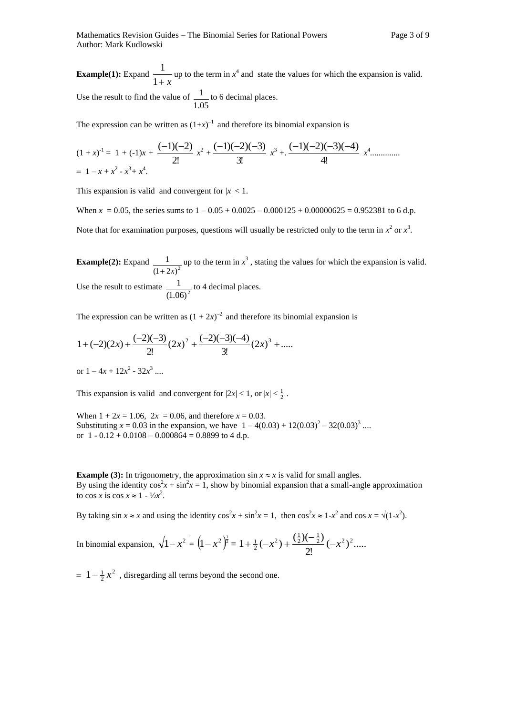**Example(1):** Expand  $\frac{1}{1+x}$  $\frac{1}{2}$  up to the term in  $x^4$  and state the values for which the expansion is valid. Use the result to find the value of 1.05  $\frac{1}{1}$  to 6 decimal places.

The expression can be written as  $(1+x)^{-1}$  and therefore its binomial expansion is

$$
(1+x)^{-1} = 1 + (-1)x + \frac{(-1)(-2)}{2!}x^2 + \frac{(-1)(-2)(-3)}{3!}x^3 + \frac{(-1)(-2)(-3)(-4)}{4!}x^4 + \dots
$$

This expansion is valid and convergent for  $|x| < 1$ .

When  $x = 0.05$ , the series sums to  $1 - 0.05 + 0.0025 - 0.000125 + 0.00000625 = 0.952381$  to 6 d.p. Note that for examination purposes, questions will usually be restricted only to the term in  $x^2$  or  $x^3$ .

**Example(2):** Expand  $\frac{1}{(1+2x)^2}$ 1  $+2x$ up to the term in  $x^3$ , stating the values for which the expansion is valid. Use the result to estimate  $\frac{1}{(1.06)^2}$  $\frac{1}{1}$  to 4 decimal places.

The expression can be written as  $(1 + 2x)^{-2}$  and therefore its binomial expansion is

$$
1 + (-2)(2x) + \frac{(-2)(-3)}{2!} (2x)^2 + \frac{(-2)(-3)(-4)}{3!} (2x)^3 + \dots
$$

or  $1 - 4x + 12x^2 - 32x^3$  ....

This expansion is valid and convergent for  $|2x| < 1$ , or  $|x| < \frac{1}{2}$ .

When  $1 + 2x = 1.06$ ,  $2x = 0.06$ , and therefore  $x = 0.03$ . Substituting  $x = 0.03$  in the expansion, we have  $1 - 4(0.03) + 12(0.03)^2 - 32(0.03)^3$  ... or  $1 - 0.12 + 0.0108 - 0.000864 = 0.8899$  to 4 d.p.

**Example (3):** In trigonometry, the approximation  $\sin x \approx x$  is valid for small angles. By using the identity  $\cos^2 x + \sin^2 x = 1$ , show by binomial expansion that a small-angle approximation to cos *x* is cos  $x \approx 1 - \frac{1}{2}x^2$ .

By taking  $\sin x \approx x$  and using the identity  $\cos^2 x + \sin^2 x = 1$ , then  $\cos^2 x \approx 1 - x^2$  and  $\cos x = \sqrt{(1 - x^2)}$ .

In binomial expansion, 
$$
\sqrt{1-x^2} = (1-x^2)^{\frac{1}{2}} = 1 + \frac{1}{2}(-x^2) + \frac{(\frac{1}{2})(-\frac{1}{2})}{2!}(-x^2)^2
$$
......

 $= 1 - \frac{1}{2}x^2$  $1 - \frac{1}{2}x^2$ , disregarding all terms beyond the second one.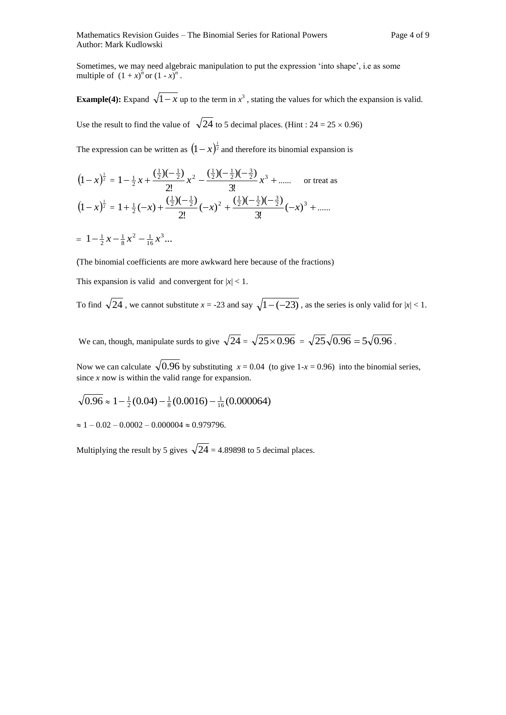Sometimes, we may need algebraic manipulation to put the expression 'into shape', i.e as some multiple of  $(1 + x)^n$  or  $(1 - x)^n$ .

**Example(4):** Expand  $\sqrt{1-x}$  up to the term in  $x^3$ , stating the values for which the expansion is valid. Use the result to find the value of  $\sqrt{24}$  to 5 decimal places. (Hint: 24 = 25 × 0.96) The expression can be written as  $(1-x)^{\frac{1}{2}}$  and therefore its binomial expansion is

$$
(1-x)^{\frac{1}{2}} = 1 - \frac{1}{2}x + \frac{(\frac{1}{2})(-\frac{1}{2})}{2!}x^2 - \frac{(\frac{1}{2})(-\frac{1}{2})(-\frac{3}{2})}{3!}x^3 + \dots
$$
 or treat as  

$$
(1-x)^{\frac{1}{2}} = 1 + \frac{1}{2}(-x) + \frac{(\frac{1}{2})(-\frac{1}{2})}{2!}(-x)^2 + \frac{(\frac{1}{2})(-\frac{1}{2})(-\frac{3}{2})}{3!}(-x)^3 + \dots
$$

 $= 1 - \frac{1}{2}x - \frac{1}{8}x^2 - \frac{1}{16}x^3...$  $-\frac{1}{2}x - \frac{1}{8}x^2 - \frac{1}{16}x$ 

(The binomial coefficients are more awkward here because of the fractions)

This expansion is valid and convergent for  $|x| < 1$ .

To find  $\sqrt{24}$ , we cannot substitute  $x = -23$  and say  $\sqrt{1 - (-23)}$ , as the series is only valid for  $|x| < 1$ .

We can, though, manipulate surds to give  $\sqrt{24} = \sqrt{25 \times 0.96} = \sqrt{25} \sqrt{0.96} = 5 \sqrt{0.96}$ .

Now we can calculate  $\sqrt{0.96}$  by substituting  $x = 0.04$  (to give 1- $x = 0.96$ ) into the binomial series, since *x* now is within the valid range for expansion.

$$
\sqrt{0.96} \approx 1 - \frac{1}{2}(0.04) - \frac{1}{8}(0.0016) - \frac{1}{16}(0.000064)
$$

 $\approx 1 - 0.02 - 0.0002 - 0.000004 \approx 0.979796.$ 

Multiplying the result by 5 gives  $\sqrt{24} = 4.89898$  to 5 decimal places.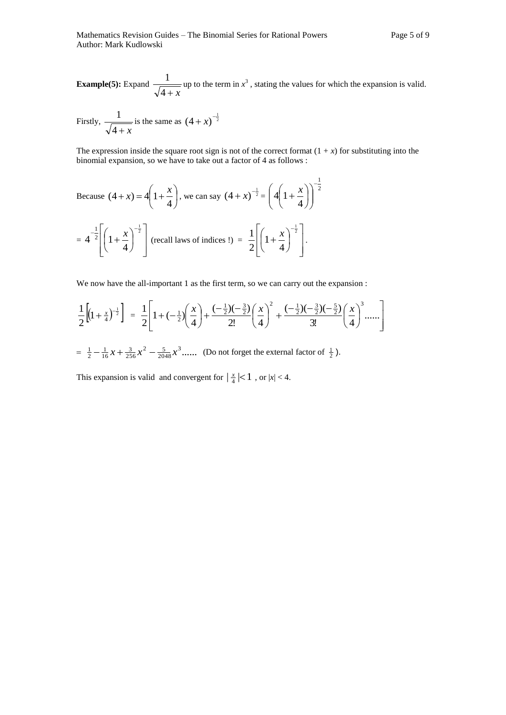**Example(5):** Expand  $4 + x$  $\frac{1}{\sqrt{1-\mu}}$  up to the term in  $x^3$ , stating the values for which the expansion is valid.

Firstly, 
$$
\frac{1}{\sqrt{4+x}}
$$
 is the same as  $(4+x)^{-\frac{1}{2}}$ 

The expression inside the square root sign is not of the correct format  $(1 + x)$  for substituting into the binomial expansion, so we have to take out a factor of 4 as follows :

Because 
$$
(4 + x) = 4\left(1 + \frac{x}{4}\right)
$$
, we can say  $(4 + x)^{-\frac{1}{2}} = \left(4\left(1 + \frac{x}{4}\right)\right)^{-\frac{1}{2}}$   
=  $4^{-\frac{1}{2}}\left[\left(1 + \frac{x}{4}\right)^{-\frac{1}{2}}\right]$  (recall laws of indices !) =  $\frac{1}{2}\left[\left(1 + \frac{x}{4}\right)^{-\frac{1}{2}}\right]$ .

We now have the all-important 1 as the first term, so we can carry out the expansion :

$$
\frac{1}{2}\left[ (1+\frac{x}{4})^{-\frac{1}{2}} \right] = \frac{1}{2} \left[ 1+(-\frac{1}{2})(\frac{x}{4}) + \frac{(-\frac{1}{2})(-\frac{3}{2})}{2!}(\frac{x}{4})^{2} + \frac{(-\frac{1}{2})(-\frac{3}{2})(-\frac{5}{2})}{3!}(\frac{x}{4})^{3} + \cdots \right]
$$

 $=\frac{1}{2} - \frac{1}{16}x + \frac{3}{256}x^2 - \frac{5}{2048}x^3$ ......  $\frac{1}{2} - \frac{1}{16}x + \frac{3}{256}x^2 - \frac{5}{2048}x^3$ ...... (Do not forget the external factor of  $\frac{1}{2}$ ).

This expansion is valid and convergent for  $\left| \frac{x}{4} \right| < 1$ , or  $|x| < 4$ .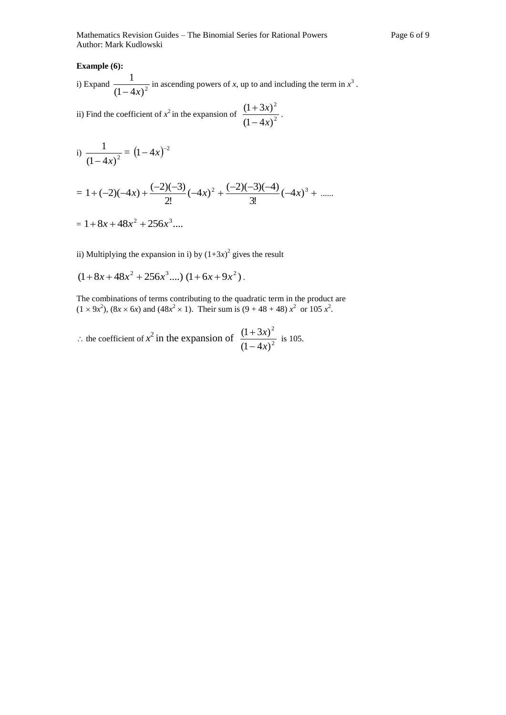## **Example (6):**

i) Expand  $\frac{1}{(1-4x)^2}$ 1  $-4x$ in ascending powers of  $x$ , up to and including the term in  $x^3$ .

ii) Find the coefficient of 
$$
x^2
$$
 in the expansion of  $\frac{(1+3x)^2}{(1-4x)^2}$ .

i) 
$$
\frac{1}{(1-4x)^2} = (1-4x)^{-2}
$$

$$
= 1 + (-2)(-4x) + \frac{(-2)(-3)}{2!}(-4x)^{2} + \frac{(-2)(-3)(-4)}{3!}(-4x)^{3} + \dots
$$

$$
= 1 + 8x + 48x^2 + 256x^3 \dots
$$

ii) Multiplying the expansion in i) by  $(1+3x)^2$  gives the result

$$
(1+8x+48x^2+256x^3....)(1+6x+9x^2).
$$

The combinations of terms contributing to the quadratic term in the product are  $(1 \times 9x^2)$ ,  $(8x \times 6x)$  and  $(48x^2 \times 1)$ . Their sum is  $(9 + 48 + 48) x^2$  or 105  $x^2$ .

 $\therefore$  the coefficient of  $x^2$  in the expansion of  $\frac{(1+3x)}{(1-4x)^2}$ 2  $(1 - 4x)$  $(1 + 3x)$ *x x*  $\overline{a}$  $\frac{(+3x)^2}{\sqrt{2}}$  is 105.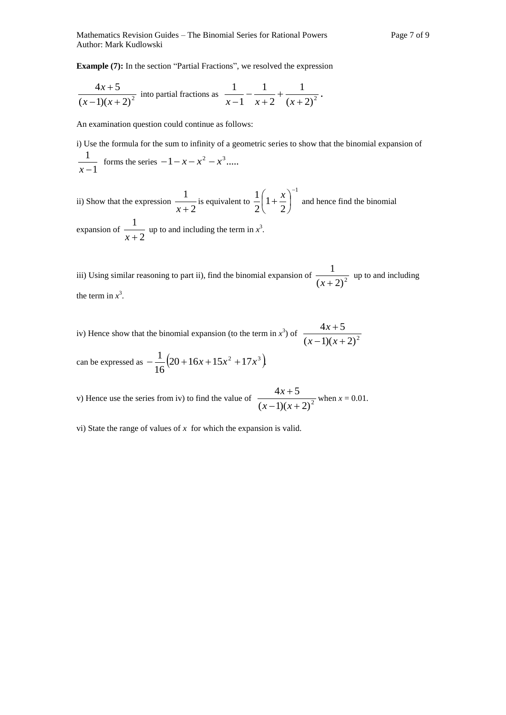**Example (7):** In the section "Partial Fractions", we resolved the expression

$$
\frac{4x+5}{(x-1)(x+2)^2}
$$
 into partial fractions as  $\frac{1}{x-1} - \frac{1}{x+2} + \frac{1}{(x+2)^2}$ .

An examination question could continue as follows:

i) Use the formula for the sum to infinity of a geometric series to show that the binomial expansion of 1 1  $\frac{1}{x-1}$  forms the series  $-1-x-x^2-x^3....$ 

ii) Show that the expression  $\frac{1}{x+2}$ 1  $\frac{1}{x+2}$  is equivalent to 1 2 1 2  $1\binom{x}{1}$  $\overline{\phantom{a}}$ J  $\left(1+\frac{x}{2}\right)$  $\setminus$  $\left(1+\frac{x}{x}\right)^{-1}$  and hence find the binomial expansion of  $\frac{1}{x+2}$ 1  $\frac{1}{x+2}$  up to and including the term in  $x^3$ .

iii) Using similar reasoning to part ii), find the binomial expansion of  $\frac{1}{(x+2)^2}$ 1  $\frac{1}{(x+2)^2}$  up to and including the term in  $x^3$ .

iv) Hence show that the binomial expansion (to the term in  $x^3$ ) of  $\frac{-\pi x + 3}{(x-1)(x+2)^2}$  $4x + 5$  $-1(x +$  $\ddot{}$  $(x-1)(x)$ *x*

can be expressed as  $-\frac{1}{2}(20+16x+15x^2+17x^3)$ 16  $-\frac{1}{\sqrt{2}}(20+16x+15x^2+17x^3)$ 

v) Hence use the series from iv) to find the value of  $\frac{1}{(x-1)(x+2)^2}$  $4x + 5$  $-1(x +$  $^{+}$  $(x-1)(x)$  $\frac{x+5}{x^2}$  when  $x = 0.01$ .

vi) State the range of values of *x* for which the expansion is valid.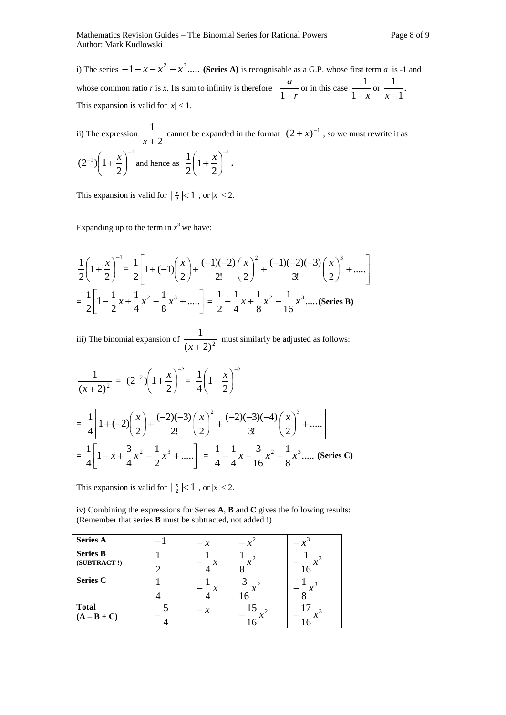ii) The expression  $\frac{1}{x+2}$ 1  $\frac{1}{x+2}$  cannot be expanded in the format  $(2+x)^{-1}$ , so we must rewrite it as 1 1 2  $(2^{-1}) | 1$  $\overline{a}$  $^{-1}$ )  $1+\frac{\lambda}{2}$ J  $\left(1+\frac{x}{2}\right)$  $\setminus$  $\left(1+\frac{x}{2}\right)^{-1}$  and hence as 1 2 1 2  $1\binom{x}{1}$  $\overline{\phantom{a}}$ J  $\left(1+\frac{x}{2}\right)$  $\setminus$  $\left(1+\frac{x}{2}\right)^{-1}$ .

This expansion is valid for  $\left|\frac{x}{2}\right| < 1$ , or  $|x| < 2$ .

Expanding up to the term in  $x^3$  we have:

$$
\frac{1}{2}\left(1+\frac{x}{2}\right)^{-1} = \frac{1}{2}\left[1+(-1)\left(\frac{x}{2}\right)+\frac{(-1)(-2)}{2!}\left(\frac{x}{2}\right)^{2}+\frac{(-1)(-2)(-3)}{3!}\left(\frac{x}{2}\right)^{3}+\dots\right]
$$

$$
=\frac{1}{2}\left[1-\frac{1}{2}x+\frac{1}{4}x^{2}-\frac{1}{8}x^{3}+\dots\right]=\frac{1}{2}-\frac{1}{4}x+\frac{1}{8}x^{2}-\frac{1}{16}x^{3}\dots
$$
(Series B)

iii) The binomial expansion of  $\frac{1}{(x+2)^2}$ 1  $\frac{1}{(x+2)^2}$  must similarly be adjusted as follows:

$$
\frac{1}{(x+2)^2} = (2^{-2})\left(1+\frac{x}{2}\right)^{-2} = \frac{1}{4}\left(1+\frac{x}{2}\right)^{-2}
$$
  
=  $\frac{1}{4}\left[1+(-2)\left(\frac{x}{2}\right)+\frac{(-2)(-3)}{2!}\left(\frac{x}{2}\right)^2+\frac{(-2)(-3)(-4)}{3!}\left(\frac{x}{2}\right)^3+\dots\right]$   
=  $\frac{1}{4}\left[1-x+\frac{3}{4}x^2-\frac{1}{2}x^3+\dots\right] = \frac{1}{4}-\frac{1}{4}x+\frac{3}{16}x^2-\frac{1}{8}x^3\dots$  (Series C)

This expansion is valid for  $\left|\frac{x}{2}\right| < 1$ , or  $|x| < 2$ .

iv) Combining the expressions for Series **A**, **B** and **C** gives the following results: (Remember that series **B** must be subtracted, not added !)

| <b>Series A</b>                | $-x$ |    |  |
|--------------------------------|------|----|--|
| <b>Series B</b><br>(SUBTRACT!) |      |    |  |
| <b>Series C</b>                |      |    |  |
| <b>Total</b><br>$(A - B + C)$  | $-x$ | 15 |  |